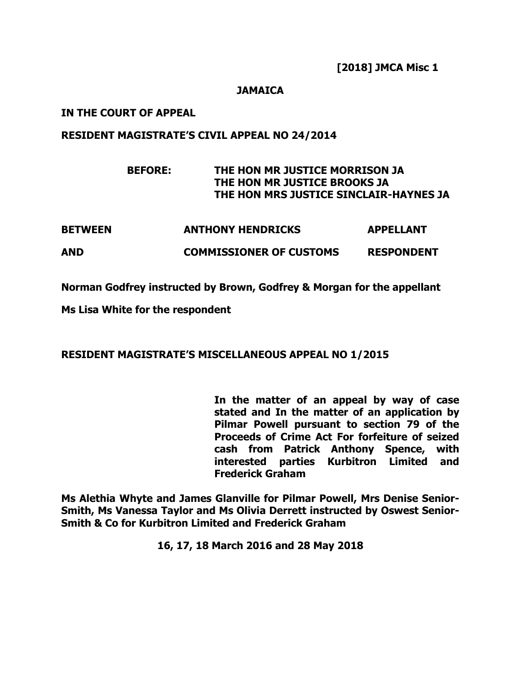### **JAMAICA**

### **IN THE COURT OF APPEAL**

### **RESIDENT MAGISTRATE'S CIVIL APPEAL NO 24/2014**

# **BEFORE: THE HON MR JUSTICE MORRISON JA THE HON MR JUSTICE BROOKS JA THE HON MRS JUSTICE SINCLAIR-HAYNES JA**

| <b>BETWEEN</b> | <b>ANTHONY HENDRICKS</b>       | <b>APPELLANT</b>  |
|----------------|--------------------------------|-------------------|
| <b>AND</b>     | <b>COMMISSIONER OF CUSTOMS</b> | <b>RESPONDENT</b> |

**Norman Godfrey instructed by Brown, Godfrey & Morgan for the appellant** 

**Ms Lisa White for the respondent** 

## **RESIDENT MAGISTRATE'S MISCELLANEOUS APPEAL NO 1/2015**

**In the matter of an appeal by way of case stated and In the matter of an application by Pilmar Powell pursuant to section 79 of the Proceeds of Crime Act For forfeiture of seized cash from Patrick Anthony Spence, with interested parties Kurbitron Limited and Frederick Graham**

**Ms Alethia Whyte and James Glanville for Pilmar Powell, Mrs Denise Senior-Smith, Ms Vanessa Taylor and Ms Olivia Derrett instructed by Oswest Senior-Smith & Co for Kurbitron Limited and Frederick Graham**

**16, 17, 18 March 2016 and 28 May 2018**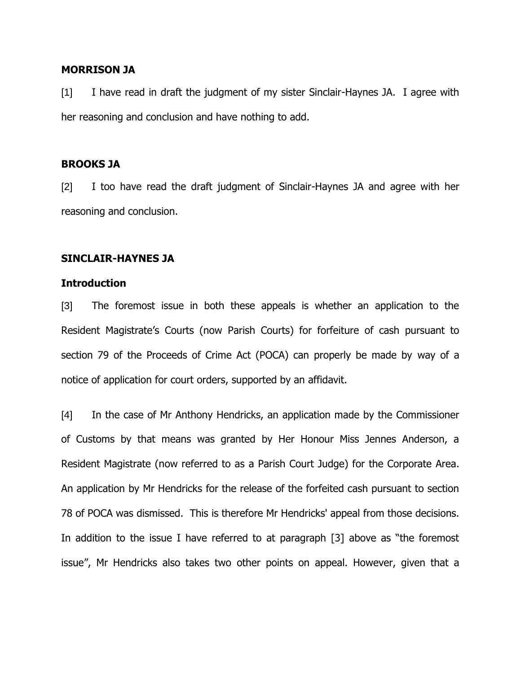### **MORRISON JA**

[1] I have read in draft the judgment of my sister Sinclair-Haynes JA. I agree with her reasoning and conclusion and have nothing to add.

### **BROOKS JA**

[2] I too have read the draft judgment of Sinclair-Haynes JA and agree with her reasoning and conclusion.

### **SINCLAIR-HAYNES JA**

#### **Introduction**

[3] The foremost issue in both these appeals is whether an application to the Resident Magistrate's Courts (now Parish Courts) for forfeiture of cash pursuant to section 79 of the Proceeds of Crime Act (POCA) can properly be made by way of a notice of application for court orders, supported by an affidavit.

[4] In the case of Mr Anthony Hendricks, an application made by the Commissioner of Customs by that means was granted by Her Honour Miss Jennes Anderson, a Resident Magistrate (now referred to as a Parish Court Judge) for the Corporate Area. An application by Mr Hendricks for the release of the forfeited cash pursuant to section 78 of POCA was dismissed. This is therefore Mr Hendricks' appeal from those decisions. In addition to the issue I have referred to at paragraph [3] above as "the foremost issue", Mr Hendricks also takes two other points on appeal. However, given that a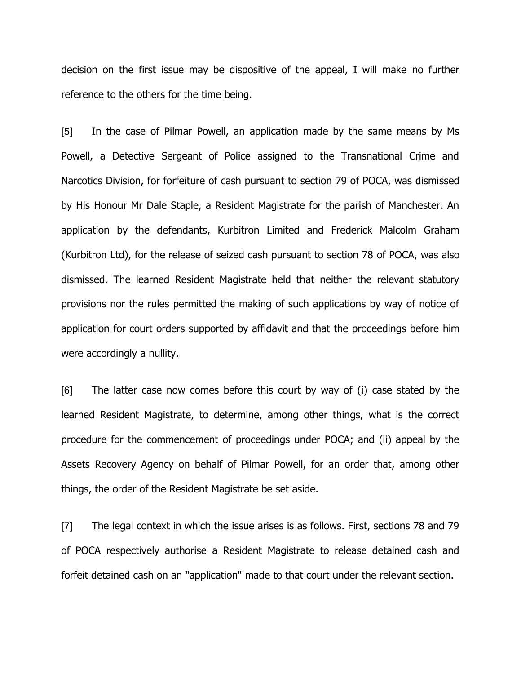decision on the first issue may be dispositive of the appeal, I will make no further reference to the others for the time being.

[5] In the case of Pilmar Powell, an application made by the same means by Ms Powell, a Detective Sergeant of Police assigned to the Transnational Crime and Narcotics Division, for forfeiture of cash pursuant to section 79 of POCA, was dismissed by His Honour Mr Dale Staple, a Resident Magistrate for the parish of Manchester. An application by the defendants, Kurbitron Limited and Frederick Malcolm Graham (Kurbitron Ltd), for the release of seized cash pursuant to section 78 of POCA, was also dismissed. The learned Resident Magistrate held that neither the relevant statutory provisions nor the rules permitted the making of such applications by way of notice of application for court orders supported by affidavit and that the proceedings before him were accordingly a nullity.

[6] The latter case now comes before this court by way of (i) case stated by the learned Resident Magistrate, to determine, among other things, what is the correct procedure for the commencement of proceedings under POCA; and (ii) appeal by the Assets Recovery Agency on behalf of Pilmar Powell, for an order that, among other things, the order of the Resident Magistrate be set aside.

[7] The legal context in which the issue arises is as follows. First, sections 78 and 79 of POCA respectively authorise a Resident Magistrate to release detained cash and forfeit detained cash on an "application" made to that court under the relevant section.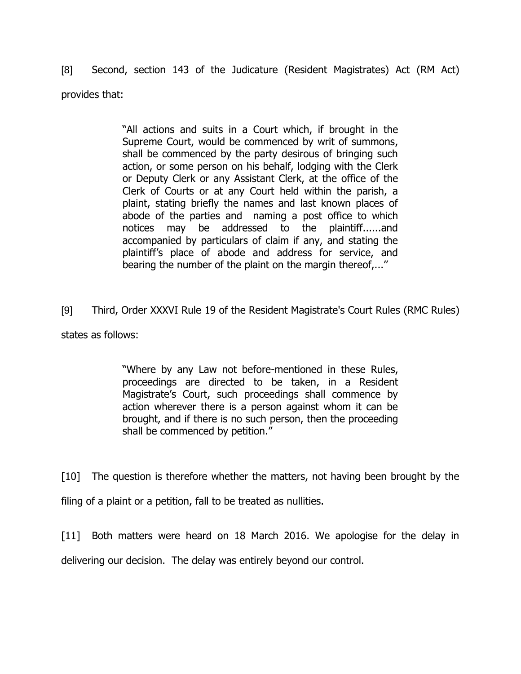[8] Second, section 143 of the Judicature (Resident Magistrates) Act (RM Act) provides that:

> "All actions and suits in a Court which, if brought in the Supreme Court, would be commenced by writ of summons, shall be commenced by the party desirous of bringing such action, or some person on his behalf, lodging with the Clerk or Deputy Clerk or any Assistant Clerk, at the office of the Clerk of Courts or at any Court held within the parish, a plaint, stating briefly the names and last known places of abode of the parties and naming a post office to which notices may be addressed to the plaintiff......and accompanied by particulars of claim if any, and stating the plaintiff's place of abode and address for service, and bearing the number of the plaint on the margin thereof,...''

[9] Third, Order XXXVI Rule 19 of the Resident Magistrate's Court Rules (RMC Rules) states as follows:

> "Where by any Law not before-mentioned in these Rules, proceedings are directed to be taken, in a Resident Magistrate's Court, such proceedings shall commence by action wherever there is a person against whom it can be brought, and if there is no such person, then the proceeding shall be commenced by petition."

[10] The question is therefore whether the matters, not having been brought by the filing of a plaint or a petition, fall to be treated as nullities.

[11] Both matters were heard on 18 March 2016. We apologise for the delay in delivering our decision. The delay was entirely beyond our control.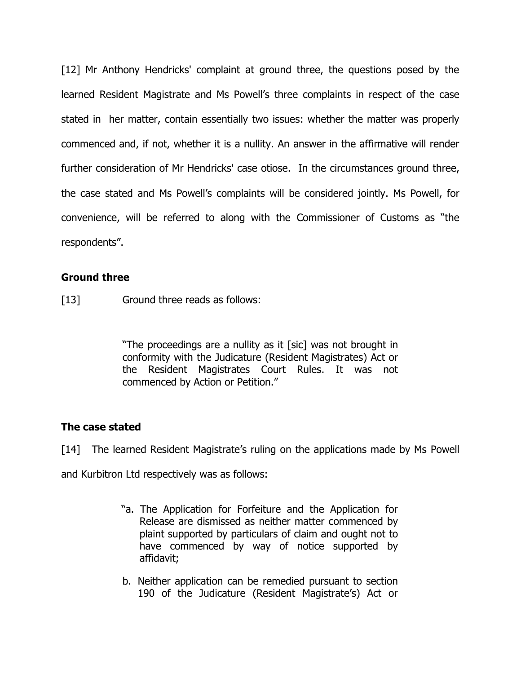[12] Mr Anthony Hendricks' complaint at ground three, the questions posed by the learned Resident Magistrate and Ms Powell's three complaints in respect of the case stated in her matter, contain essentially two issues: whether the matter was properly commenced and, if not, whether it is a nullity. An answer in the affirmative will render further consideration of Mr Hendricks' case otiose. In the circumstances ground three, the case stated and Ms Powell's complaints will be considered jointly. Ms Powell, for convenience, will be referred to along with the Commissioner of Customs as "the respondents".

# **Ground three**

[13] Ground three reads as follows:

"The proceedings are a nullity as it [sic] was not brought in conformity with the Judicature (Resident Magistrates) Act or the Resident Magistrates Court Rules. It was not commenced by Action or Petition."

## **The case stated**

[14] The learned Resident Magistrate's ruling on the applications made by Ms Powell

and Kurbitron Ltd respectively was as follows:

- "a. The Application for Forfeiture and the Application for Release are dismissed as neither matter commenced by plaint supported by particulars of claim and ought not to have commenced by way of notice supported by affidavit;
- b. Neither application can be remedied pursuant to section 190 of the Judicature (Resident Magistrate's) Act or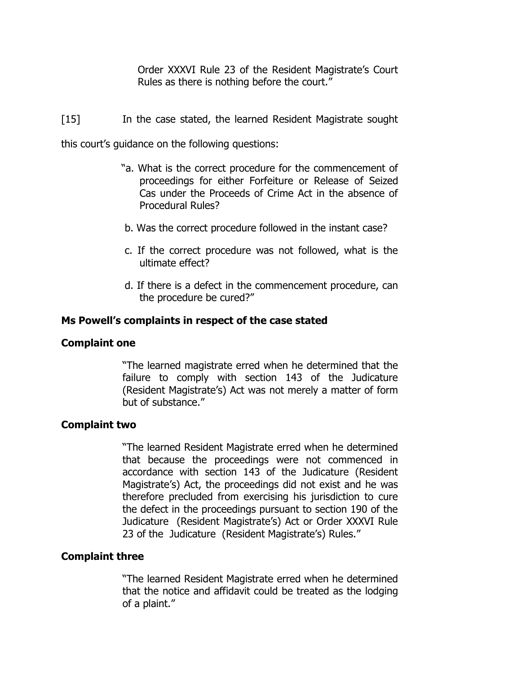Order XXXVI Rule 23 of the Resident Magistrate's Court Rules as there is nothing before the court."

[15] In the case stated, the learned Resident Magistrate sought

this court's guidance on the following questions:

- "a. What is the correct procedure for the commencement of proceedings for either Forfeiture or Release of Seized Cas under the Proceeds of Crime Act in the absence of Procedural Rules?
- b. Was the correct procedure followed in the instant case?
- c. If the correct procedure was not followed, what is the ultimate effect?
- d. If there is a defect in the commencement procedure, can the procedure be cured?"

## **Ms Powell's complaints in respect of the case stated**

### **Complaint one**

"The learned magistrate erred when he determined that the failure to comply with section 143 of the Judicature (Resident Magistrate's) Act was not merely a matter of form but of substance."

### **Complaint two**

"The learned Resident Magistrate erred when he determined that because the proceedings were not commenced in accordance with section 143 of the Judicature (Resident Magistrate's) Act, the proceedings did not exist and he was therefore precluded from exercising his jurisdiction to cure the defect in the proceedings pursuant to section 190 of the Judicature (Resident Magistrate's) Act or Order XXXVI Rule 23 of the Judicature (Resident Magistrate's) Rules."

### **Complaint three**

"The learned Resident Magistrate erred when he determined that the notice and affidavit could be treated as the lodging of a plaint."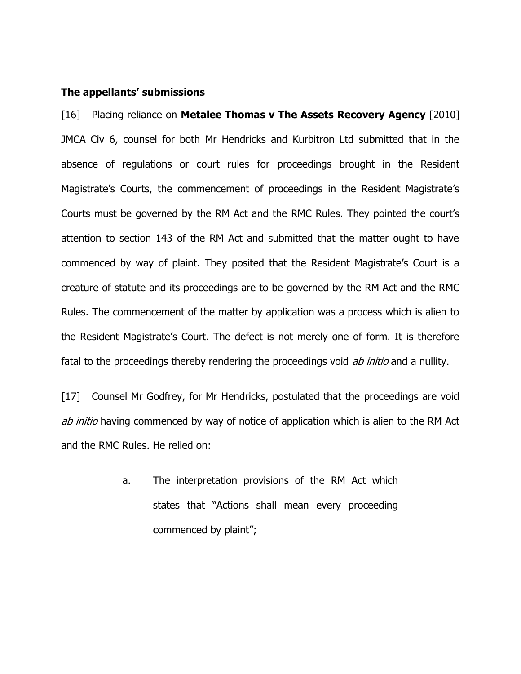### **The appellants' submissions**

[16] Placing reliance on **Metalee Thomas v The Assets Recovery Agency** [2010] JMCA Civ 6, counsel for both Mr Hendricks and Kurbitron Ltd submitted that in the absence of regulations or court rules for proceedings brought in the Resident Magistrate's Courts, the commencement of proceedings in the Resident Magistrate's Courts must be governed by the RM Act and the RMC Rules. They pointed the court's attention to section 143 of the RM Act and submitted that the matter ought to have commenced by way of plaint. They posited that the Resident Magistrate's Court is a creature of statute and its proceedings are to be governed by the RM Act and the RMC Rules. The commencement of the matter by application was a process which is alien to the Resident Magistrate's Court. The defect is not merely one of form. It is therefore fatal to the proceedings thereby rendering the proceedings void *ab initio* and a nullity.

[17] Counsel Mr Godfrey, for Mr Hendricks, postulated that the proceedings are void ab initio having commenced by way of notice of application which is alien to the RM Act and the RMC Rules. He relied on:

> a. The interpretation provisions of the RM Act which states that "Actions shall mean every proceeding commenced by plaint";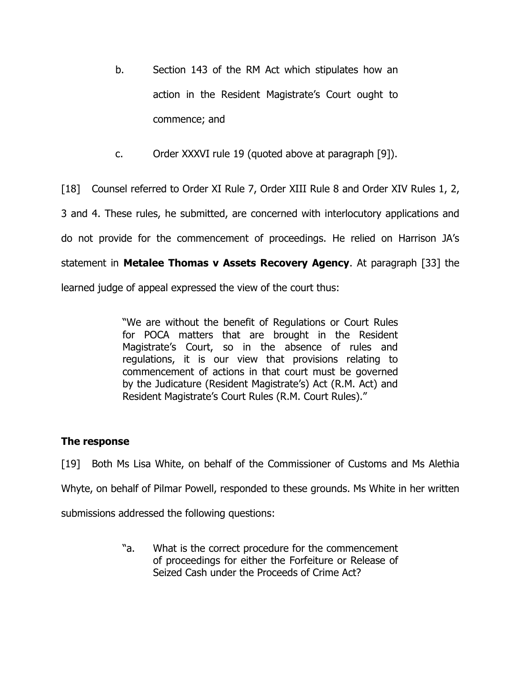- b. Section 143 of the RM Act which stipulates how an action in the Resident Magistrate's Court ought to commence; and
- c. Order XXXVI rule 19 (quoted above at paragraph [9]).

[18] Counsel referred to Order XI Rule 7, Order XIII Rule 8 and Order XIV Rules 1, 2, 3 and 4. These rules, he submitted, are concerned with interlocutory applications and do not provide for the commencement of proceedings. He relied on Harrison JA's statement in **Metalee Thomas v Assets Recovery Agency**. At paragraph [33] the learned judge of appeal expressed the view of the court thus:

> "We are without the benefit of Regulations or Court Rules for POCA matters that are brought in the Resident Magistrate's Court, so in the absence of rules and regulations, it is our view that provisions relating to commencement of actions in that court must be governed by the Judicature (Resident Magistrate's) Act (R.M. Act) and Resident Magistrate's Court Rules (R.M. Court Rules)."

# **The response**

[19] Both Ms Lisa White, on behalf of the Commissioner of Customs and Ms Alethia Whyte, on behalf of Pilmar Powell, responded to these grounds. Ms White in her written submissions addressed the following questions:

> "a. What is the correct procedure for the commencement of proceedings for either the Forfeiture or Release of Seized Cash under the Proceeds of Crime Act?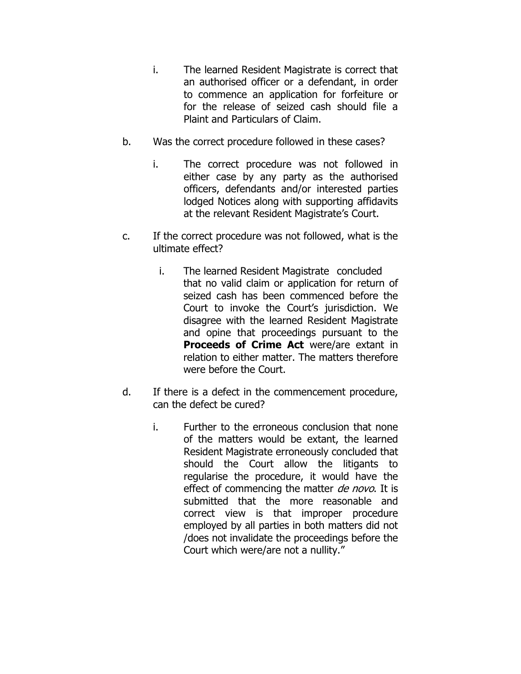- i. The learned Resident Magistrate is correct that an authorised officer or a defendant, in order to commence an application for forfeiture or for the release of seized cash should file a Plaint and Particulars of Claim.
- b. Was the correct procedure followed in these cases?
	- i. The correct procedure was not followed in either case by any party as the authorised officers, defendants and/or interested parties lodged Notices along with supporting affidavits at the relevant Resident Magistrate's Court.
- c. If the correct procedure was not followed, what is the ultimate effect?
	- i. The learned Resident Magistrate concluded that no valid claim or application for return of seized cash has been commenced before the Court to invoke the Court's jurisdiction. We disagree with the learned Resident Magistrate and opine that proceedings pursuant to the **Proceeds of Crime Act** were/are extant in relation to either matter. The matters therefore were before the Court.
- d. If there is a defect in the commencement procedure, can the defect be cured?
	- i. Further to the erroneous conclusion that none of the matters would be extant, the learned Resident Magistrate erroneously concluded that should the Court allow the litigants to regularise the procedure, it would have the effect of commencing the matter de novo. It is submitted that the more reasonable and correct view is that improper procedure employed by all parties in both matters did not /does not invalidate the proceedings before the Court which were/are not a nullity."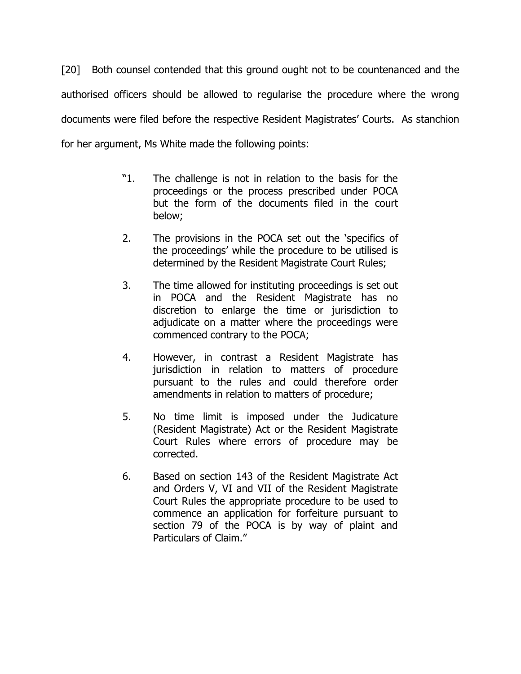[20] Both counsel contended that this ground ought not to be countenanced and the authorised officers should be allowed to regularise the procedure where the wrong documents were filed before the respective Resident Magistrates' Courts. As stanchion for her argument, Ms White made the following points:

- "1. The challenge is not in relation to the basis for the proceedings or the process prescribed under POCA but the form of the documents filed in the court below;
- 2. The provisions in the POCA set out the 'specifics of the proceedings' while the procedure to be utilised is determined by the Resident Magistrate Court Rules;
- 3. The time allowed for instituting proceedings is set out in POCA and the Resident Magistrate has no discretion to enlarge the time or jurisdiction to adjudicate on a matter where the proceedings were commenced contrary to the POCA;
- 4. However, in contrast a Resident Magistrate has jurisdiction in relation to matters of procedure pursuant to the rules and could therefore order amendments in relation to matters of procedure;
- 5. No time limit is imposed under the Judicature (Resident Magistrate) Act or the Resident Magistrate Court Rules where errors of procedure may be corrected.
- 6. Based on section 143 of the Resident Magistrate Act and Orders V, VI and VII of the Resident Magistrate Court Rules the appropriate procedure to be used to commence an application for forfeiture pursuant to section 79 of the POCA is by way of plaint and Particulars of Claim."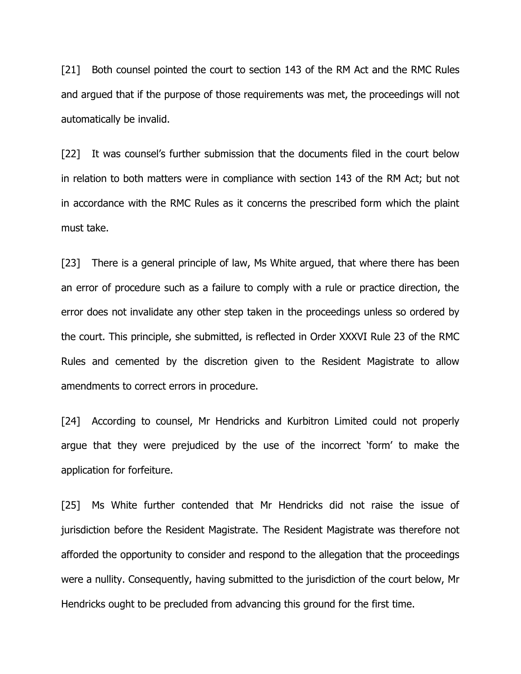[21] Both counsel pointed the court to section 143 of the RM Act and the RMC Rules and argued that if the purpose of those requirements was met, the proceedings will not automatically be invalid.

[22] It was counsel's further submission that the documents filed in the court below in relation to both matters were in compliance with section 143 of the RM Act; but not in accordance with the RMC Rules as it concerns the prescribed form which the plaint must take.

[23] There is a general principle of law, Ms White argued, that where there has been an error of procedure such as a failure to comply with a rule or practice direction, the error does not invalidate any other step taken in the proceedings unless so ordered by the court. This principle, she submitted, is reflected in Order XXXVI Rule 23 of the RMC Rules and cemented by the discretion given to the Resident Magistrate to allow amendments to correct errors in procedure.

[24] According to counsel, Mr Hendricks and Kurbitron Limited could not properly argue that they were prejudiced by the use of the incorrect 'form' to make the application for forfeiture.

[25] Ms White further contended that Mr Hendricks did not raise the issue of jurisdiction before the Resident Magistrate. The Resident Magistrate was therefore not afforded the opportunity to consider and respond to the allegation that the proceedings were a nullity. Consequently, having submitted to the jurisdiction of the court below, Mr Hendricks ought to be precluded from advancing this ground for the first time.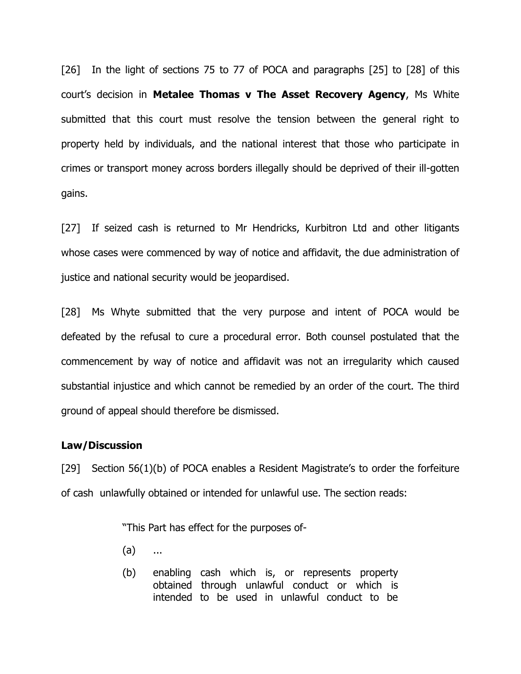[26] In the light of sections 75 to 77 of POCA and paragraphs [25] to [28] of this court's decision in **Metalee Thomas v The Asset Recovery Agency**, Ms White submitted that this court must resolve the tension between the general right to property held by individuals, and the national interest that those who participate in crimes or transport money across borders illegally should be deprived of their ill-gotten gains.

[27] If seized cash is returned to Mr Hendricks, Kurbitron Ltd and other litigants whose cases were commenced by way of notice and affidavit, the due administration of justice and national security would be jeopardised.

[28] Ms Whyte submitted that the very purpose and intent of POCA would be defeated by the refusal to cure a procedural error. Both counsel postulated that the commencement by way of notice and affidavit was not an irregularity which caused substantial injustice and which cannot be remedied by an order of the court. The third ground of appeal should therefore be dismissed.

### **Law/Discussion**

[29] Section 56(1)(b) of POCA enables a Resident Magistrate's to order the forfeiture of cash unlawfully obtained or intended for unlawful use. The section reads:

"This Part has effect for the purposes of-

- (a) ...
- (b) enabling cash which is, or represents property obtained through unlawful conduct or which is intended to be used in unlawful conduct to be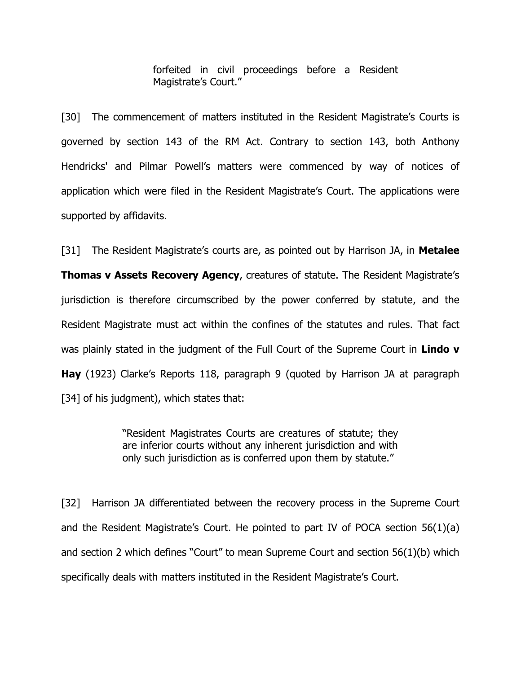forfeited in civil proceedings before a Resident Magistrate's Court."

[30] The commencement of matters instituted in the Resident Magistrate's Courts is governed by section 143 of the RM Act. Contrary to section 143, both Anthony Hendricks' and Pilmar Powell's matters were commenced by way of notices of application which were filed in the Resident Magistrate's Court. The applications were supported by affidavits.

[31] The Resident Magistrate's courts are, as pointed out by Harrison JA, in **Metalee Thomas v Assets Recovery Agency**, creatures of statute. The Resident Magistrate's jurisdiction is therefore circumscribed by the power conferred by statute, and the Resident Magistrate must act within the confines of the statutes and rules. That fact was plainly stated in the judgment of the Full Court of the Supreme Court in **Lindo v Hay** (1923) Clarke's Reports 118, paragraph 9 (quoted by Harrison JA at paragraph [34] of his judgment), which states that:

> "Resident Magistrates Courts are creatures of statute; they are inferior courts without any inherent jurisdiction and with only such jurisdiction as is conferred upon them by statute."

[32] Harrison JA differentiated between the recovery process in the Supreme Court and the Resident Magistrate's Court. He pointed to part IV of POCA section 56(1)(a) and section 2 which defines "Court" to mean Supreme Court and section 56(1)(b) which specifically deals with matters instituted in the Resident Magistrate's Court.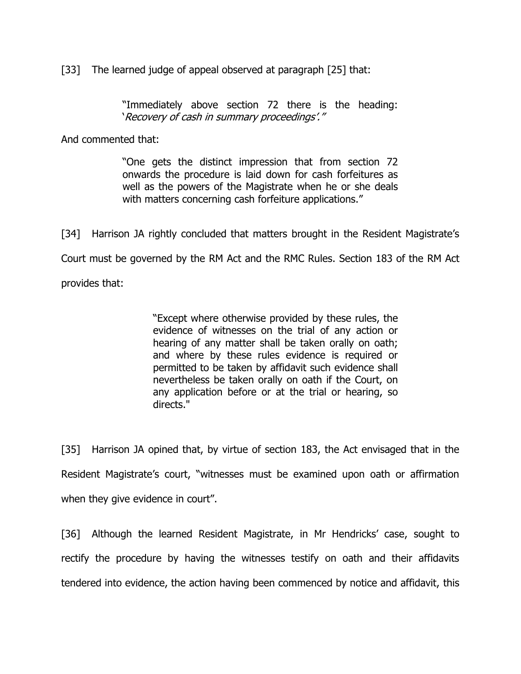[33] The learned judge of appeal observed at paragraph [25] that:

"Immediately above section 72 there is the heading: 'Recovery of cash in summary proceedings'."

And commented that:

"One gets the distinct impression that from section 72 onwards the procedure is laid down for cash forfeitures as well as the powers of the Magistrate when he or she deals with matters concerning cash forfeiture applications."

[34] Harrison JA rightly concluded that matters brought in the Resident Magistrate's Court must be governed by the RM Act and the RMC Rules. Section 183 of the RM Act provides that:

> "Except where otherwise provided by these rules, the evidence of witnesses on the trial of any action or hearing of any matter shall be taken orally on oath; and where by these rules evidence is required or permitted to be taken by affidavit such evidence shall nevertheless be taken orally on oath if the Court, on any application before or at the trial or hearing, so directs."

[35] Harrison JA opined that, by virtue of section 183, the Act envisaged that in the Resident Magistrate's court, "witnesses must be examined upon oath or affirmation when they give evidence in court".

[36] Although the learned Resident Magistrate, in Mr Hendricks' case, sought to rectify the procedure by having the witnesses testify on oath and their affidavits tendered into evidence, the action having been commenced by notice and affidavit, this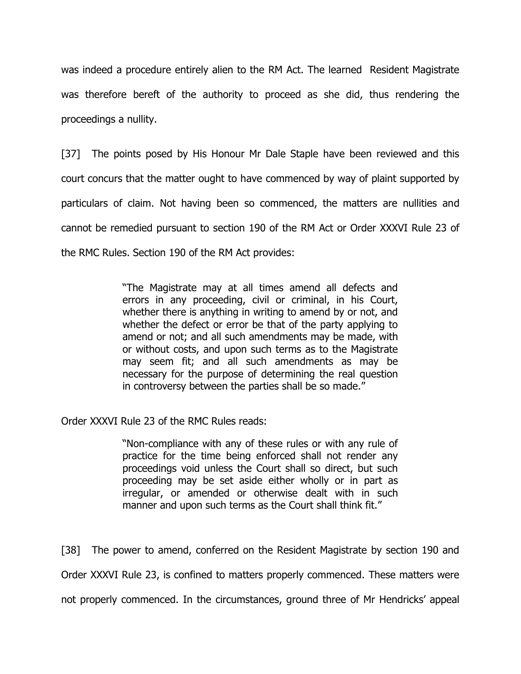was indeed a procedure entirely alien to the RM Act. The learned Resident Magistrate was therefore bereft of the authority to proceed as she did, thus rendering the proceedings a nullity.

[37] The points posed by His Honour Mr Dale Staple have been reviewed and this court concurs that the matter ought to have commenced by way of plaint supported by particulars of claim. Not having been so commenced, the matters are nullities and cannot be remedied pursuant to section 190 of the RM Act or Order XXXVI Rule 23 of the RMC Rules. Section 190 of the RM Act provides:

> "The Magistrate may at all times amend all defects and errors in any proceeding, civil or criminal, in his Court, whether there is anything in writing to amend by or not, and whether the defect or error be that of the party applying to amend or not; and all such amendments may be made, with or without costs, and upon such terms as to the Magistrate may seem fit; and all such amendments as may be necessary for the purpose of determining the real question in controversy between the parties shall be so made."

Order XXXVI Rule 23 of the RMC Rules reads:

"Non-compliance with any of these rules or with any rule of practice for the time being enforced shall not render any proceedings void unless the Court shall so direct, but such proceeding may be set aside either wholly or in part as irregular, or amended or otherwise dealt with in such manner and upon such terms as the Court shall think fit."

[38] The power to amend, conferred on the Resident Magistrate by section 190 and Order XXXVI Rule 23, is confined to matters properly commenced. These matters were not properly commenced. In the circumstances, ground three of Mr Hendricks' appeal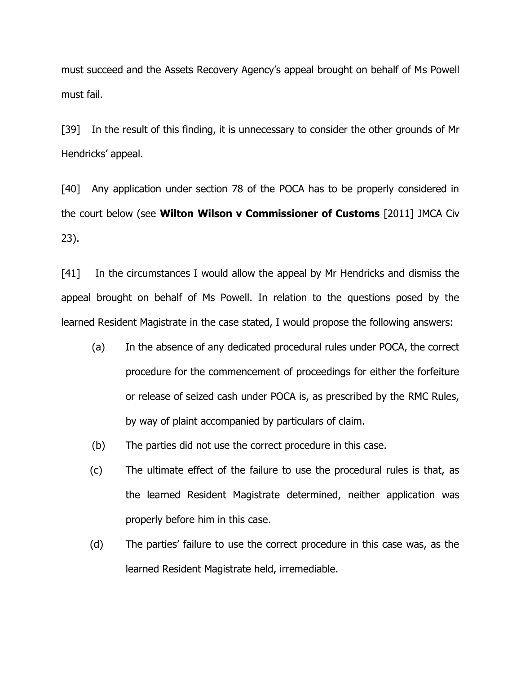must succeed and the Assets Recovery Agency's appeal brought on behalf of Ms Powell must fail.

[39] In the result of this finding, it is unnecessary to consider the other grounds of Mr Hendricks' appeal.

[40] Any application under section 78 of the POCA has to be properly considered in the court below (see **Wilton Wilson v Commissioner of Customs** [2011] JMCA Civ 23).

[41] In the circumstances I would allow the appeal by Mr Hendricks and dismiss the appeal brought on behalf of Ms Powell. In relation to the questions posed by the learned Resident Magistrate in the case stated, I would propose the following answers:

- (a) In the absence of any dedicated procedural rules under POCA, the correct procedure for the commencement of proceedings for either the forfeiture or release of seized cash under POCA is, as prescribed by the RMC Rules, by way of plaint accompanied by particulars of claim.
- (b) The parties did not use the correct procedure in this case.
- (c) The ultimate effect of the failure to use the procedural rules is that, as the learned Resident Magistrate determined, neither application was properly before him in this case.
- (d) The parties' failure to use the correct procedure in this case was, as the learned Resident Magistrate held, irremediable.